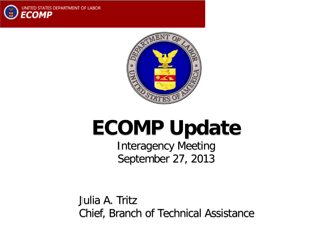



# **ECOMP Update**

Interagency Meeting September 27, 2013

Julia A. Tritz Chief, Branch of Technical Assistance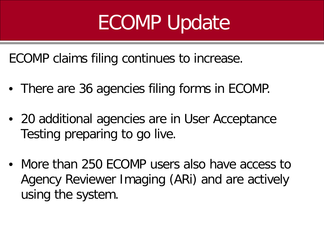# ECOMP Update

ECOMP claims filing continues to increase.

- There are 36 agencies filing forms in ECOMP.
- 20 additional agencies are in User Acceptance Testing preparing to go live.
- More than 250 ECOMP users also have access to Agency Reviewer Imaging (ARi) and are actively using the system.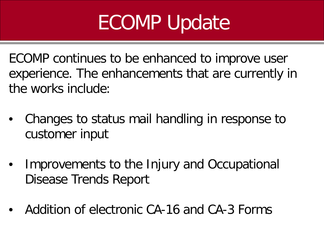# ECOMP Update

ECOMP continues to be enhanced to improve user experience. The enhancements that are currently in the works include:

- Changes to status mail handling in response to customer input
- Improvements to the Injury and Occupational Disease Trends Report
- Addition of electronic CA-16 and CA-3 Forms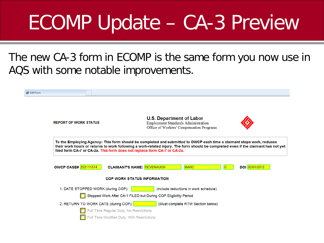The new CA-3 form in ECOMP is the same form you now use in AQS with some notable improvements.

| CA3 Form |                                                                                                                                                                                                                                                             |                                                                                       |                                                                                                                    |                                   |   |                |
|----------|-------------------------------------------------------------------------------------------------------------------------------------------------------------------------------------------------------------------------------------------------------------|---------------------------------------------------------------------------------------|--------------------------------------------------------------------------------------------------------------------|-----------------------------------|---|----------------|
|          | <b>REPORT OF WORK STATUS</b>                                                                                                                                                                                                                                |                                                                                       | <b>U.S. Department of Labor</b><br>Employment Standards Administration<br>Office of Workers' Compensation Programs |                                   |   |                |
|          | To the Employing Agency: This form should be completed and submitted to OWCP each time a claimant stops work, reduces<br>their work hours or returns to work following a work-related injury. The form should be completed even if the claimant has not yet |                                                                                       |                                                                                                                    |                                   |   |                |
|          | <b>OWCP CASE# 252111514</b>                                                                                                                                                                                                                                 | <b>CLAIMANT'S NAME: REVENAUGH</b>                                                     |                                                                                                                    | <b>MARC</b>                       | C | DOI 02/01/2012 |
|          |                                                                                                                                                                                                                                                             | <b>COP WORK STATUS INFORMATION</b>                                                    |                                                                                                                    |                                   |   |                |
|          | 1. DATE STOPPED WORK (during COP):                                                                                                                                                                                                                          | Stopped Work After CA-1 FILED but During COP Eligibility Period                       | (include reductions in work schedule)                                                                              |                                   |   |                |
|          | 2. RETURN TO WORK DATE (during COP): <b>The COVID-19</b>                                                                                                                                                                                                    | Full Time Regular Duty: No Restrictions<br>Full Time Modified Duty: With Restrictions |                                                                                                                    | (Must complete RTW Section below) |   |                |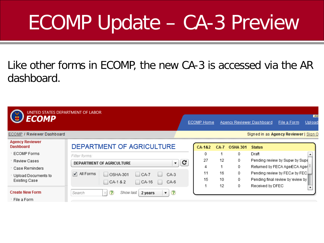#### Like other forms in ECOMP, the new CA-3 is accessed via the AR dashboard.

| UNITED STATES DEPARTMENT OF LABOR<br><b>ECOMP</b> |                                                                                                                      |   | <b>ECOMP Home</b> |        |                 | Agency Reviewer Dashboard             | File a Form | AG<br>Upload     |
|---------------------------------------------------|----------------------------------------------------------------------------------------------------------------------|---|-------------------|--------|-----------------|---------------------------------------|-------------|------------------|
| <b>ECOMP / Reviewer Dashboard</b>                 |                                                                                                                      |   |                   |        |                 | Signed in as Agency Reviewer   Sign O |             |                  |
| <b>Agency Reviewer</b><br>Dashboard               | DEPARTMENT OF AGRICULTURE                                                                                            |   | CA-182            | $CA-7$ | <b>OSHA 301</b> | <b>Status</b>                         |             |                  |
| · ECOMP Forms                                     | Filter forms:                                                                                                        |   | 0                 |        | 0               | Draft                                 |             | $\blacktriangle$ |
| Review Cases                                      | $\blacktriangledown$<br>DEPARTMENT OF AGRICULTURE                                                                    | c | 27                | 12     | 0               | Pending review by Supw by Supe        |             |                  |
| ∵ Case Reminders                                  |                                                                                                                      |   | 4                 |        | 0               | Returned by FECA AgerECA Ager         |             |                  |
| ↑ Upload Documents to                             | All Forms<br>✓<br><b>OSHA-301</b><br>$C_A-7$<br>$CA-3$<br>L                                                          |   | 11                | 16     | 0               | Pending review by FECN by FEC.        |             |                  |
| Existing Case                                     | $CA-1$ & 2<br>$\Box$ CA-16<br>CA-6<br>- 1                                                                            |   | 15                | 10     | 0               | Pending final review by eview by      |             |                  |
|                                                   |                                                                                                                      |   |                   | 12     | 0               | Received by DFEC                      |             |                  |
| <b>Create New Form</b>                            | $\overline{\mathbf{?}}$<br>$\overline{\mathbf{?}}$<br>Show last<br>Search<br>2 years<br>×<br>$\overline{\mathbf{v}}$ |   |                   |        |                 |                                       |             |                  |
| ∸ File a Form                                     |                                                                                                                      |   |                   |        |                 |                                       |             |                  |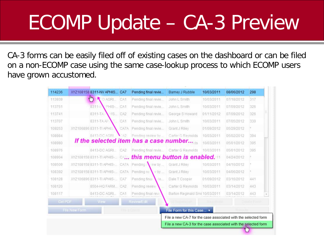CA-3 forms can be easily filed off of existing cases on the dashboard or can be filed on a non-ECOMP case using the same case-lookup process to which ECOMP users have grown accustomed.

| 298           | 08/06/2012 | 10/03/2011 | Barney J Rubble                                                 | Pending final revie                                                   |                 | XYZ108158 8311-NV APHIS CA7   |  | 114236 |
|---------------|------------|------------|-----------------------------------------------------------------|-----------------------------------------------------------------------|-----------------|-------------------------------|--|--------|
| 317           | 07/18/2012 | 10/03/2011 | John L Smith                                                    | Pending final revie                                                   | CA1             | $4\mu$<br>O AGRI              |  | 113939 |
| 326           | 07/09/2012 | 10/03/2011 | John L Smith                                                    | Pending final revie                                                   |                 | $8311 -$<br>PHIS-   CA1       |  | 113751 |
| 326           | 07/09/2012 | 01/11/2012 | George S Howard                                                 | Pending final revie                                                   | CA <sub>2</sub> | 8311-TA<br>HS                 |  | 113741 |
| 330           | 07/05/2012 | 10/03/2011 | John L Smith                                                    | Pending final revie                                                   | CA1             | 8311-TA AP                    |  | 113707 |
|               | 05/29/2012 | 01/09/2012 | Grant J Riley                                                   | Pending final revie                                                   | CA7A            | XYZ106896 8311-TI APHIS       |  | 109253 |
| 394           | 05/02/2012 | 10/03/2011 | Carter G Revnolds                                               | Pending review by                                                     | A2              | 8413-DC AGRI                  |  | 108984 |
| 395           | 05/01/2012 | 10/03/2011 |                                                                 | If the selected item has a case number                                |                 |                               |  | 108980 |
| 395           | 05/01/2012 | 10/03/2011 | Carter G Revnolds                                               | Pending final revie                                                   | CA <sub>2</sub> | 8413-DC AGRI                  |  | 108976 |
|               | 04/24/2012 |            |                                                                 | <b>XYZ108158 8311-TI APHIS- CAZ., this menu button is enabled.</b> 11 |                 |                               |  | 108904 |
|               | 04/16/2012 | 10/03/2011 | Grant J Riley                                                   | XYZ1081588311-TI APHIS- CA7A Pending \ew by                           |                 |                               |  | 108509 |
|               | 04/06/2012 | 10/03/2011 | Grant J Riley                                                   | Pending re V by                                                       |                 | XYZ108158 8311-TI APHIS- CA7A |  | 108392 |
| 441           | 03/16/2012 | 01/09/2012 | Dale T Cooper                                                   | Pending final<br>le                                                   |                 | XYZ106896 8311-TI APHIS- CA7  |  | 108128 |
| 443           | 03/14/2012 | 10/03/2011 | Carter G Reynolds                                               | Pending review                                                        |                 | 8504-HQ FARM CA2              |  | 108120 |
| 443           | 03/14/2012 |            | Barton Reginald Smi 10/03/2011                                  | Pending final revi-                                                   | CA1             | 8413-DC AGRI                  |  | 108117 |
| Distate Focty |            | 民民间的信頼     | <b>Id Subm Edi</b>                                              | Review/Edit                                                           |                 | Get PDF<br>View <sup>-</sup>  |  |        |
|               | committe   |            | File Form for this Case v                                       |                                                                       | Fith a Crimm    | File New Form                 |  |        |
|               |            |            | File a new CA-7 for the case associated with the selected form. |                                                                       |                 |                               |  |        |
|               |            |            | File a new CA-3 for the case associated with the selected form  |                                                                       |                 |                               |  |        |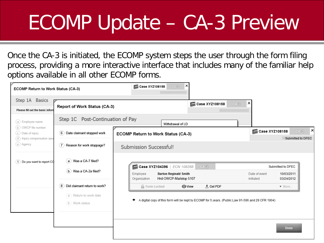Once the CA-3 is initiated, the ECOMP system steps the user through the form filing process, providing a more interactive interface that includes many of the familiar help options available in all other ECOMP forms.

| Step 1A Basics<br>Please fill out the basic inforn                              | Report of Work Status (CA-3)                                             | Case XYZ108158<br>$6-40$                                                                                                                                          | ×                          |                                               |
|---------------------------------------------------------------------------------|--------------------------------------------------------------------------|-------------------------------------------------------------------------------------------------------------------------------------------------------------------|----------------------------|-----------------------------------------------|
| $(a)$ Employee name                                                             | Step 1C Post-Continuation of Pay                                         | Withdrawal of LD                                                                                                                                                  |                            |                                               |
| b OWCP file number<br>$(c)$ Date of injury<br>$(d)$ Injury compensation spectre | $(6)$ Date claimant stopped work                                         | ECOMP Return to Work Status (CA-3)                                                                                                                                | Case XYZ108158             | ×<br>$6-40$<br>Submitted to DFEC              |
| (e) Agency                                                                      | $(7)$ Reason for work stoppage?                                          | Submission Successful!                                                                                                                                            |                            |                                               |
| (1) Do you want to report CO                                                    | a Was a CA-7 filed?<br>(b > Was a CA-2a filed?                           | Case XYZ104396   ECN 108288<br>$CA-3$<br><b>Barton Reginald Smith</b><br>Employee<br>Hrd-OWCP-Mailstop 5107<br>Organization                                       | Date of event<br>Initiated | Submitted to DFEC<br>10/03/2011<br>03/24/2012 |
|                                                                                 | 8 Did claimant return to work?<br>a Return to work date<br>b Work status | $E$ Get PDF<br><b>Referent</b> Locked<br><b>O</b> View<br>A digital copy of this form will be kept by ECOMP for 5 years. (Public Law 91-596 and 29 CFR 1904)<br>۰ |                            | ▼ More                                        |